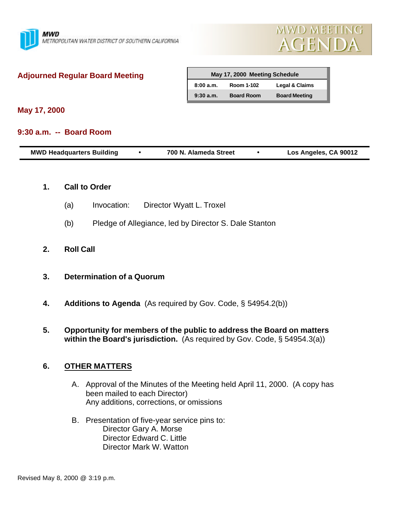



## **Adjourned Regular Board Meeting**

| May 17, 2000 Meeting Schedule |                   |                      |  |  |  |
|-------------------------------|-------------------|----------------------|--|--|--|
| 8:00a.m.                      | Room 1-102        | Legal & Claims       |  |  |  |
| 9:30a.m.                      | <b>Board Room</b> | <b>Board Meeting</b> |  |  |  |

**May 17, 2000**

### **9:30 a.m. -- Board Room**

| <b>MWD Headquarters Building</b> |  | 700 N. Alameda Street |  | Los Angeles, CA 90012 |
|----------------------------------|--|-----------------------|--|-----------------------|
|----------------------------------|--|-----------------------|--|-----------------------|

#### **1. Call to Order**

- (a) Invocation: Director Wyatt L. Troxel
- (b) Pledge of Allegiance, led by Director S. Dale Stanton

### **2. Roll Call**

- **3. Determination of a Quorum**
- **4. Additions to Agenda** (As required by Gov. Code, § 54954.2(b))
- **5. Opportunity for members of the public to address the Board on matters within the Board's jurisdiction.** (As required by Gov. Code, § 54954.3(a))

## **6. OTHER MATTERS**

- A. Approval of the Minutes of the Meeting held April 11, 2000. (A copy has been mailed to each Director) Any additions, corrections, or omissions
- B. Presentation of five-year service pins to: Director Gary A. Morse Director Edward C. Little Director Mark W. Watton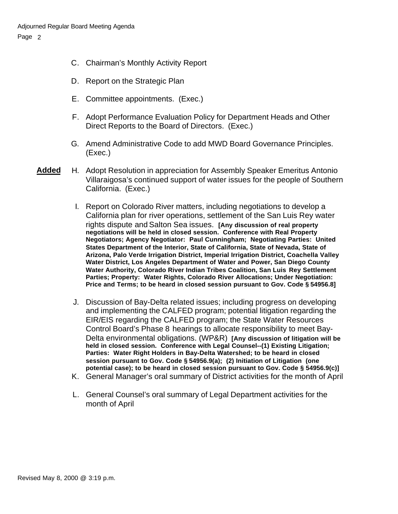- C. Chairman's Monthly Activity Report
- D. Report on the Strategic Plan
- E. Committee appointments. (Exec.)
- F. Adopt Performance Evaluation Policy for Department Heads and Other Direct Reports to the Board of Directors. (Exec.)
- G. Amend Administrative Code to add MWD Board Governance Principles. (Exec.)
- **Added** H. Adopt Resolution in appreciation for Assembly Speaker Emeritus Antonio Villaraigosa's continued support of water issues for the people of Southern California. (Exec.)
	- I. Report on Colorado River matters, including negotiations to develop a California plan for river operations, settlement of the San Luis Rey water rights dispute and Salton Sea issues. **[Any discussion of real property negotiations will be held in closed session. Conference with Real Property Negotiators; Agency Negotiator: Paul Cunningham; Negotiating Parties: United States Department of the Interior, State of California, State of Nevada, State of Arizona, Palo Verde Irrigation District, Imperial Irrigation District, Coachella Valley Water District, Los Angeles Department of Water and Power, San Diego County Water Authority, Colorado River Indian Tribes Coalition, San Luis Rey Settlement Parties; Property: Water Rights, Colorado River Allocations; Under Negotiation: Price and Terms; to be heard in closed session pursuant to Gov. Code § 54956.8]**
	- J. Discussion of Bay-Delta related issues; including progress on developing and implementing the CALFED program; potential litigation regarding the EIR/EIS regarding the CALFED program; the State Water Resources Control Board's Phase 8 hearings to allocate responsibility to meet Bay-Delta environmental obligations. (WP&R) **[Any discussion of litigation will be held in closed session. Conference with Legal Counsel--(1) Existing Litigation; Parties: Water Right Holders in Bay-Delta Watershed; to be heard in closed session pursuant to Gov. Code § 54956.9(a); (2) Initiation of Litigation (one potential case); to be heard in closed session pursuant to Gov. Code § 54956.9(c)]**
	- K. General Manager's oral summary of District activities for the month of April
	- L. General Counsel's oral summary of Legal Department activities for the month of April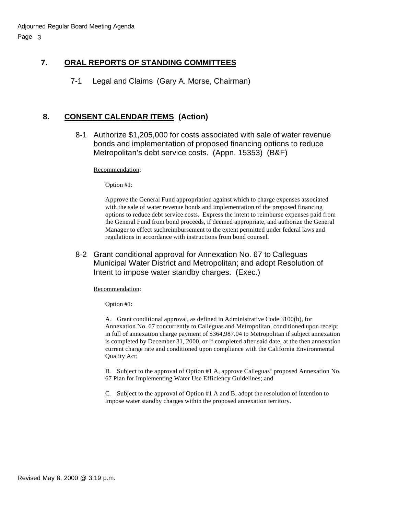# **7. ORAL REPORTS OF STANDING COMMITTEES**

7-1 Legal and Claims (Gary A. Morse, Chairman)

## **8. CONSENT CALENDAR ITEMS (Action)**

8-1 Authorize \$1,205,000 for costs associated with sale of water revenue bonds and implementation of proposed financing options to reduce Metropolitan's debt service costs. (Appn. 15353) (B&F)

Recommendation:

Option #1:

Approve the General Fund appropriation against which to charge expenses associated with the sale of water revenue bonds and implementation of the proposed financing options to reduce debt service costs. Express the intent to reimburse expenses paid from the General Fund from bond proceeds, if deemed appropriate, and authorize the General Manager to effect suchreimbursement to the extent permitted under federal laws and regulations in accordance with instructions from bond counsel.

8-2 Grant conditional approval for Annexation No. 67 to Calleguas Municipal Water District and Metropolitan; and adopt Resolution of Intent to impose water standby charges. (Exec.)

Recommendation:

Option #1:

A. Grant conditional approval, as defined in Administrative Code 3100(b), for Annexation No. 67 concurrently to Calleguas and Metropolitan, conditioned upon receipt in full of annexation charge payment of \$364,987.04 to Metropolitan if subject annexation is completed by December 31, 2000, or if completed after said date, at the then annexation current charge rate and conditioned upon compliance with the California Environmental Quality Act;

B. Subject to the approval of Option #1 A, approve Calleguas' proposed Annexation No. 67 Plan for Implementing Water Use Efficiency Guidelines; and

C. Subject to the approval of Option #1 A and B, adopt the resolution of intention to impose water standby charges within the proposed annexation territory.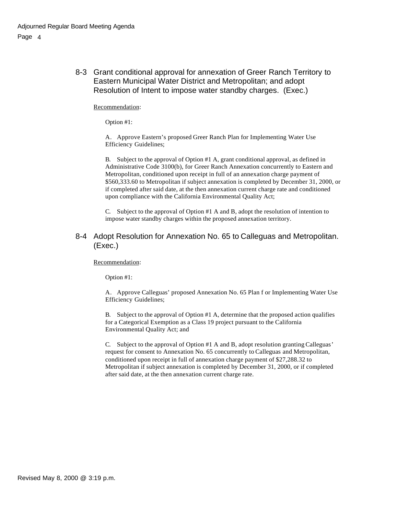8-3 Grant conditional approval for annexation of Greer Ranch Territory to Eastern Municipal Water District and Metropolitan; and adopt Resolution of Intent to impose water standby charges. (Exec.)

Recommendation:

Option #1:

A. Approve Eastern's proposed Greer Ranch Plan for Implementing Water Use Efficiency Guidelines;

B. Subject to the approval of Option #1 A, grant conditional approval, as defined in Administrative Code 3100(b), for Greer Ranch Annexation concurrently to Eastern and Metropolitan, conditioned upon receipt in full of an annexation charge payment of \$560,333.60 to Metropolitan if subject annexation is completed by December 31, 2000, or if completed after said date, at the then annexation current charge rate and conditioned upon compliance with the California Environmental Quality Act;

C. Subject to the approval of Option #1 A and B, adopt the resolution of intention to impose water standby charges within the proposed annexation territory.

8-4 Adopt Resolution for Annexation No. 65 to Calleguas and Metropolitan. (Exec.)

Recommendation:

Option #1:

A. Approve Calleguas' proposed Annexation No. 65 Plan f or Implementing Water Use Efficiency Guidelines;

B. Subject to the approval of Option #1 A, determine that the proposed action qualifies for a Categorical Exemption as a Class 19 project pursuant to the California Environmental Quality Act; and

C. Subject to the approval of Option #1 A and B, adopt resolution granting Calleguas' request for consent to Annexation No. 65 concurrently to Calleguas and Metropolitan, conditioned upon receipt in full of annexation charge payment of \$27,288.32 to Metropolitan if subject annexation is completed by December 31, 2000, or if completed after said date, at the then annexation current charge rate.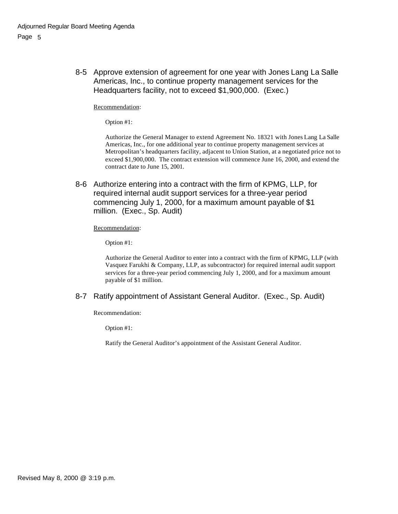8-5 Approve extension of agreement for one year with Jones Lang La Salle Americas, Inc., to continue property management services for the Headquarters facility, not to exceed \$1,900,000. (Exec.)

Recommendation:

Option #1:

Authorize the General Manager to extend Agreement No. 18321 with Jones Lang La Salle Americas, Inc., for one additional year to continue property management services at Metropolitan's headquarters facility, adjacent to Union Station, at a negotiated price not to exceed \$1,900,000. The contract extension will commence June 16, 2000, and extend the contract date to June 15, 2001.

8-6 Authorize entering into a contract with the firm of KPMG, LLP, for required internal audit support services for a three-year period commencing July 1, 2000, for a maximum amount payable of \$1 million. (Exec., Sp. Audit)

#### Recommendation:

Option #1:

Authorize the General Auditor to enter into a contract with the firm of KPMG, LLP (with Vasquez Farukhi & Company, LLP, as subcontractor) for required internal audit support services for a three-year period commencing July 1, 2000, and for a maximum amount payable of \$1 million.

#### 8-7 Ratify appointment of Assistant General Auditor. (Exec., Sp. Audit)

Recommendation:

Option #1:

Ratify the General Auditor's appointment of the Assistant General Auditor.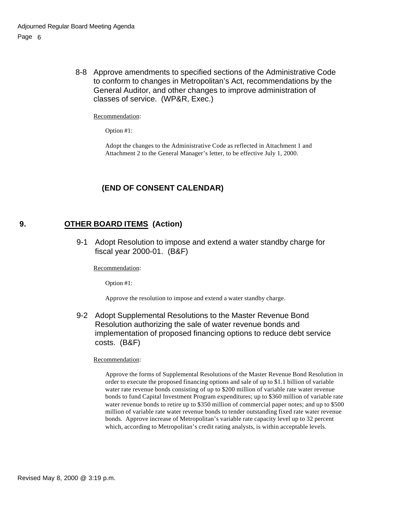8-8 Approve amendments to specified sections of the Administrative Code to conform to changes in Metropolitan's Act, recommendations by the General Auditor, and other changes to improve administration of classes of service. (WP&R, Exec.)

Recommendation:

Option #1:

Adopt the changes to the Administrative Code as reflected in Attachment 1 and Attachment 2 to the General Manager's letter, to be effective July 1, 2000.

### **(END OF CONSENT CALENDAR)**

### **9. OTHER BOARD ITEMS (Action)**

9-1 Adopt Resolution to impose and extend a water standby charge for fiscal year 2000-01. (B&F)

Recommendation:

Option #1:

Approve the resolution to impose and extend a water standby charge.

9-2 Adopt Supplemental Resolutions to the Master Revenue Bond Resolution authorizing the sale of water revenue bonds and implementation of proposed financing options to reduce debt service costs. (B&F)

#### Recommendation:

Approve the forms of Supplemental Resolutions of the Master Revenue Bond Resolution in order to execute the proposed financing options and sale of up to \$1.1 billion of variable water rate revenue bonds consisting of up to \$200 million of variable rate water revenue bonds to fund Capital Investment Program expenditures; up to \$360 million of variable rate water revenue bonds to retire up to \$350 million of commercial paper notes; and up to \$500 million of variable rate water revenue bonds to tender outstanding fixed rate water revenue bonds. Approve increase of Metropolitan's variable rate capacity level up to 32 percent which, according to Metropolitan's credit rating analysts, is within acceptable levels.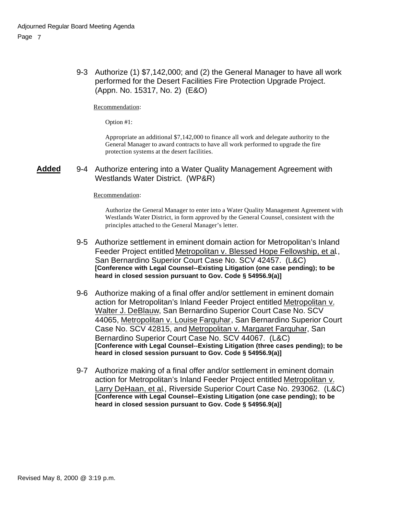9-3 Authorize (1) \$7,142,000; and (2) the General Manager to have all work performed for the Desert Facilities Fire Protection Upgrade Project. (Appn. No. 15317, No. 2) (E&O)

Recommendation:

Option #1:

Appropriate an additional \$7,142,000 to finance all work and delegate authority to the General Manager to award contracts to have all work performed to upgrade the fire protection systems at the desert facilities.

#### **Added** 9-4 Authorize entering into a Water Quality Management Agreement with Westlands Water District. (WP&R)

#### Recommendation:

Authorize the General Manager to enter into a Water Quality Management Agreement with Westlands Water District, in form approved by the General Counsel, consistent with the principles attached to the General Manager's letter.

- 9-5 Authorize settlement in eminent domain action for Metropolitan's Inland Feeder Project entitled Metropolitan v. Blessed Hope Fellowship, et al., San Bernardino Superior Court Case No. SCV 42457. (L&C) **[Conference with Legal Counsel--Existing Litigation (one case pending); to be heard in closed session pursuant to Gov. Code § 54956.9(a)]**
- 9-6 Authorize making of a final offer and/or settlement in eminent domain action for Metropolitan's Inland Feeder Project entitled Metropolitan v. Walter J. DeBlauw, San Bernardino Superior Court Case No. SCV 44065, Metropolitan v. Louise Farquhar, San Bernardino Superior Court Case No. SCV 42815, and Metropolitan v. Margaret Farquhar, San Bernardino Superior Court Case No. SCV 44067. (L&C) **[Conference with Legal Counsel--Existing Litigation (three cases pending); to be heard in closed session pursuant to Gov. Code § 54956.9(a)]**
- 9-7 Authorize making of a final offer and/or settlement in eminent domain action for Metropolitan's Inland Feeder Project entitled Metropolitan v. Larry DeHaan, et al., Riverside Superior Court Case No. 293062. (L&C) **[Conference with Legal Counsel--Existing Litigation (one case pending); to be heard in closed session pursuant to Gov. Code § 54956.9(a)]**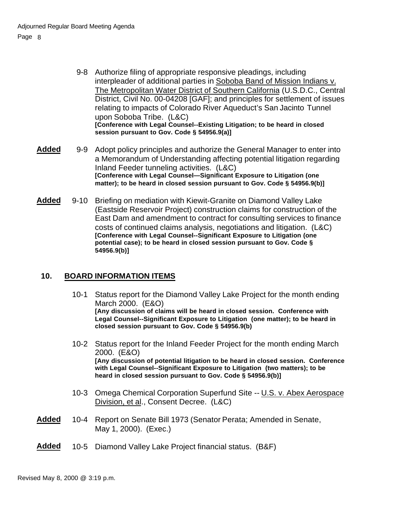- 9-8 Authorize filing of appropriate responsive pleadings, including interpleader of additional parties in Soboba Band of Mission Indians v. The Metropolitan Water District of Southern California (U.S.D.C., Central District, Civil No. 00-04208 [GAF]; and principles for settlement of issues relating to impacts of Colorado River Aqueduct's San Jacinto Tunnel upon Soboba Tribe. (L&C) **[Conference with Legal Counsel--Existing Litigation; to be heard in closed session pursuant to Gov. Code § 54956.9(a)]**
- Added 9-9 Adopt policy principles and authorize the General Manager to enter into a Memorandum of Understanding affecting potential litigation regarding Inland Feeder tunneling activities. (L&C) **[Conference with Legal Counsel—Significant Exposure to Litigation (one matter); to be heard in closed session pursuant to Gov. Code § 54956.9(b)]**
- **Added** 9-10 Briefing on mediation with Kiewit-Granite on Diamond Valley Lake (Eastside Reservoir Project) construction claims for construction of the East Dam and amendment to contract for consulting services to finance costs of continued claims analysis, negotiations and litigation. (L&C) **[Conference with Legal Counsel--Significant Exposure to Litigation (one potential case); to be heard in closed session pursuant to Gov. Code § 54956.9(b)]**

## **10. BOARD INFORMATION ITEMS**

- 10-1 Status report for the Diamond Valley Lake Project for the month ending March 2000. (E&O) **[Any discussion of claims will be heard in closed session. Conference with Legal Counsel--Significant Exposure to Litigation (one matter); to be heard in closed session pursuant to Gov. Code § 54956.9(b)**
- 10-2 Status report for the Inland Feeder Project for the month ending March 2000. (E&O) **[Any discussion of potential litigation to be heard in closed session. Conference with Legal Counsel--Significant Exposure to Litigation (two matters); to be heard in closed session pursuant to Gov. Code § 54956.9(b)]**
- 10-3 Omega Chemical Corporation Superfund Site -- U.S. v. Abex Aerospace Division, et al., Consent Decree. (L&C)
- **Added** 10-4 Report on Senate Bill 1973 (Senator Perata; Amended in Senate, May 1, 2000). (Exec.)
- **Added** 10-5 Diamond Valley Lake Project financial status. (B&F)